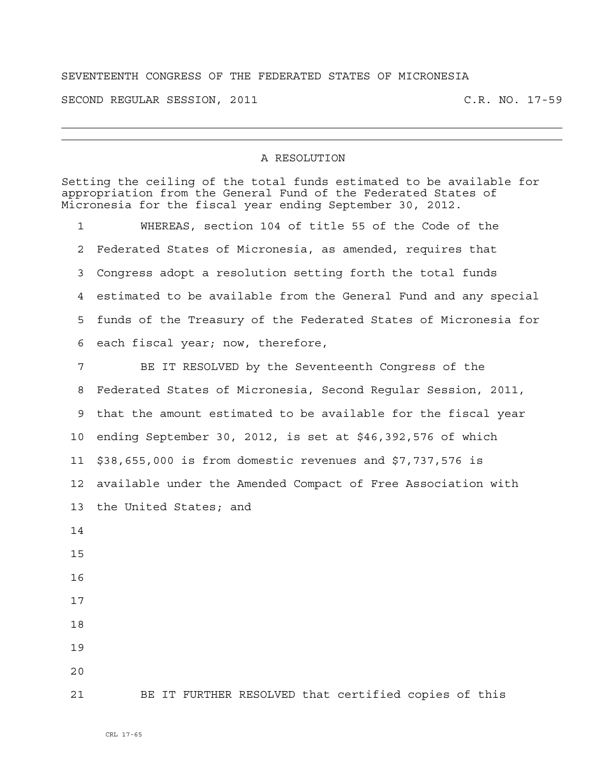## SEVENTEENTH CONGRESS OF THE FEDERATED STATES OF MICRONESIA

SECOND REGULAR SESSION, 2011 C.R. NO. 17-59

## A RESOLUTION

|                 | Setting the ceiling of the total funds estimated to be available for<br>appropriation from the General Fund of the Federated States of<br>Micronesia for the fiscal year ending September 30, 2012. |
|-----------------|-----------------------------------------------------------------------------------------------------------------------------------------------------------------------------------------------------|
| $\mathbf 1$     | WHEREAS, section 104 of title 55 of the Code of the                                                                                                                                                 |
| 2               | Federated States of Micronesia, as amended, requires that                                                                                                                                           |
| 3               | Congress adopt a resolution setting forth the total funds                                                                                                                                           |
| 4               | estimated to be available from the General Fund and any special                                                                                                                                     |
| 5               | funds of the Treasury of the Federated States of Micronesia for                                                                                                                                     |
| 6               | each fiscal year; now, therefore,                                                                                                                                                                   |
| 7               | BE IT RESOLVED by the Seventeenth Congress of the                                                                                                                                                   |
| 8               | Federated States of Micronesia, Second Regular Session, 2011,                                                                                                                                       |
| 9               | that the amount estimated to be available for the fiscal year                                                                                                                                       |
| 10              | ending September 30, 2012, is set at \$46,392,576 of which                                                                                                                                          |
| 11              | \$38,655,000 is from domestic revenues and \$7,737,576 is                                                                                                                                           |
| 12 <sub>1</sub> | available under the Amended Compact of Free Association with                                                                                                                                        |
| 13              | the United States; and                                                                                                                                                                              |
| 14              |                                                                                                                                                                                                     |
| 15              |                                                                                                                                                                                                     |
| 16              |                                                                                                                                                                                                     |
| 17              |                                                                                                                                                                                                     |
| 18              |                                                                                                                                                                                                     |
| 19              |                                                                                                                                                                                                     |
| 20              |                                                                                                                                                                                                     |
| 21              | BE IT FURTHER RESOLVED that certified copies of this                                                                                                                                                |